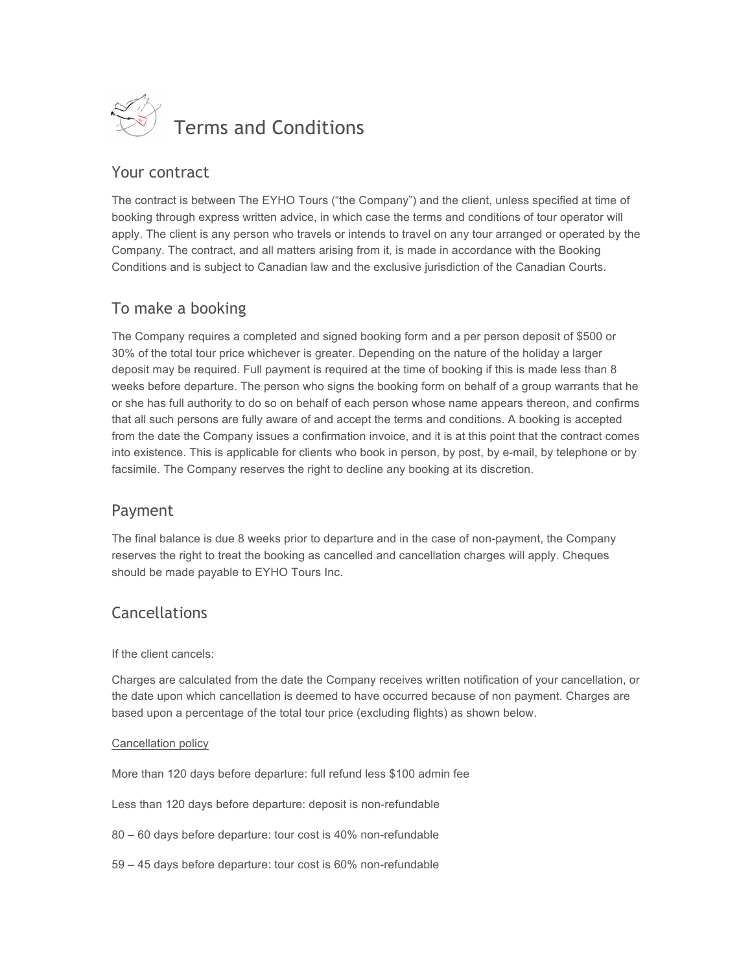

### Your contract

The contract is between The EYHO Tours ("the Company") and the client, unless specified at time of booking through express written advice, in which case the terms and conditions of tour operator will apply. The client is any person who travels or intends to travel on any tour arranged or operated by the Company. The contract, and all matters arising from it, is made in accordance with the Booking Conditions and is subject to Canadian law and the exclusive jurisdiction of the Canadian Courts.

# To make a booking

The Company requires a completed and signed booking form and a per person deposit of \$500 or 30% of the total tour price whichever is greater. Depending on the nature of the holiday a larger deposit may be required. Full payment is required at the time of booking if this is made less than 8 weeks before departure. The person who signs the booking form on behalf of a group warrants that he or she has full authority to do so on behalf of each person whose name appears thereon, and confirms that all such persons are fully aware of and accept the terms and conditions. A booking is accepted from the date the Company issues a confirmation invoice, and it is at this point that the contract comes into existence. This is applicable for clients who book in person, by post, by e-mail, by telephone or by facsimile. The Company reserves the right to decline any booking at its discretion.

#### Payment

The final balance is due 8 weeks prior to departure and in the case of non-payment, the Company reserves the right to treat the booking as cancelled and cancellation charges will apply. Cheques should be made payable to EYHO Tours Inc.

# Cancellations

If the client cancels:

Charges are calculated from the date the Company receives written notification of your cancellation, or the date upon which cancellation is deemed to have occurred because of non payment. Charges are based upon a percentage of the total tour price (excluding flights) as shown below.

#### Cancellation policy

More than 120 days before departure: full refund less \$100 admin fee

Less than 120 days before departure: deposit is non-refundable

80 – 60 days before departure: tour cost is 40% non-refundable

59 – 45 days before departure: tour cost is 60% non-refundable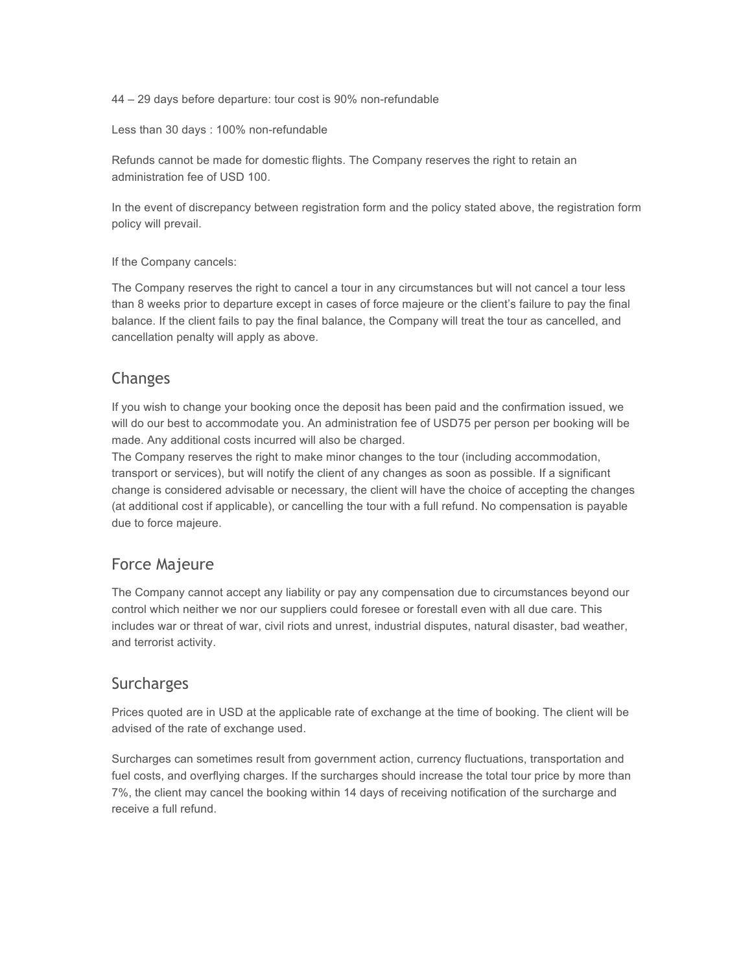44 – 29 days before departure: tour cost is 90% non-refundable

Less than 30 days : 100% non-refundable

Refunds cannot be made for domestic flights. The Company reserves the right to retain an administration fee of USD 100.

In the event of discrepancy between registration form and the policy stated above, the registration form policy will prevail.

If the Company cancels:

The Company reserves the right to cancel a tour in any circumstances but will not cancel a tour less than 8 weeks prior to departure except in cases of force majeure or the client's failure to pay the final balance. If the client fails to pay the final balance, the Company will treat the tour as cancelled, and cancellation penalty will apply as above.

#### Changes

If you wish to change your booking once the deposit has been paid and the confirmation issued, we will do our best to accommodate you. An administration fee of USD75 per person per booking will be made. Any additional costs incurred will also be charged.

The Company reserves the right to make minor changes to the tour (including accommodation, transport or services), but will notify the client of any changes as soon as possible. If a significant change is considered advisable or necessary, the client will have the choice of accepting the changes (at additional cost if applicable), or cancelling the tour with a full refund. No compensation is payable due to force majeure.

#### Force Majeure

The Company cannot accept any liability or pay any compensation due to circumstances beyond our control which neither we nor our suppliers could foresee or forestall even with all due care. This includes war or threat of war, civil riots and unrest, industrial disputes, natural disaster, bad weather, and terrorist activity.

#### **Surcharges**

Prices quoted are in USD at the applicable rate of exchange at the time of booking. The client will be advised of the rate of exchange used.

Surcharges can sometimes result from government action, currency fluctuations, transportation and fuel costs, and overflying charges. If the surcharges should increase the total tour price by more than 7%, the client may cancel the booking within 14 days of receiving notification of the surcharge and receive a full refund.